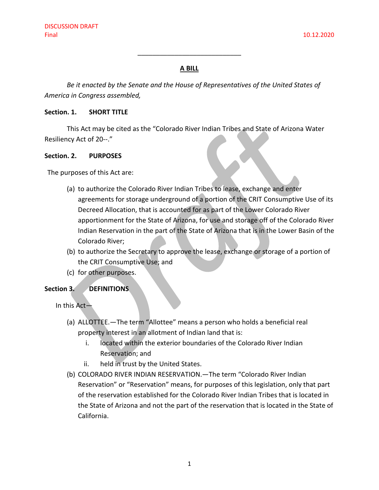# **A BILL**

 $\overline{\phantom{a}}$  , where  $\overline{\phantom{a}}$  , where  $\overline{\phantom{a}}$  , where  $\overline{\phantom{a}}$ 

*Be it enacted by the Senate and the House of Representatives of the United States of America in Congress assembled,*

#### **Section. 1. SHORT TITLE**

This Act may be cited as the "Colorado River Indian Tribes and State of Arizona Water Resiliency Act of 20--."

#### **Section. 2. PURPOSES**

The purposes of this Act are:

- (a) to authorize the Colorado River Indian Tribes to lease, exchange and enter agreements for storage underground of a portion of the CRIT Consumptive Use of its Decreed Allocation, that is accounted for as part of the Lower Colorado River apportionment for the State of Arizona, for use and storage off of the Colorado River Indian Reservation in the part of the State of Arizona that is in the Lower Basin of the Colorado River;
- (b) to authorize the Secretary to approve the lease, exchange or storage of a portion of the CRIT Consumptive Use; and
- (c) for other purposes.

#### **Section 3. DEFINITIONS**

In this Act—

- (a) ALLOTTEE.—The term "Allottee" means a person who holds a beneficial real property interest in an allotment of Indian land that is:
	- i. located within the exterior boundaries of the Colorado River Indian Reservation; and
	- ii. held in trust by the United States.
- (b) COLORADO RIVER INDIAN RESERVATION.—The term "Colorado River Indian Reservation" or "Reservation" means, for purposes of this legislation, only that part of the reservation established for the Colorado River Indian Tribes that is located in the State of Arizona and not the part of the reservation that is located in the State of California.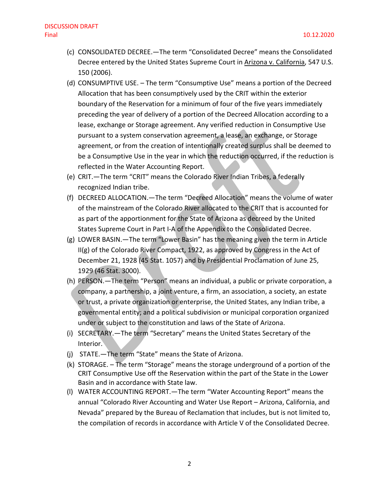- (c) CONSOLIDATED DECREE.—The term "Consolidated Decree" means the Consolidated Decree entered by the United States Supreme Court in Arizona v. California, 547 U.S. 150 (2006).
- (d) CONSUMPTIVE USE. The term "Consumptive Use" means a portion of the Decreed Allocation that has been consumptively used by the CRIT within the exterior boundary of the Reservation for a minimum of four of the five years immediately preceding the year of delivery of a portion of the Decreed Allocation according to a lease, exchange or Storage agreement. Any verified reduction in Consumptive Use pursuant to a system conservation agreement, a lease, an exchange, or Storage agreement, or from the creation of intentionally created surplus shall be deemed to be a Consumptive Use in the year in which the reduction occurred, if the reduction is reflected in the Water Accounting Report.
- (e) CRIT.—The term "CRIT" means the Colorado River Indian Tribes, a federally recognized Indian tribe.
- (f) DECREED ALLOCATION.—The term "Decreed Allocation" means the volume of water of the mainstream of the Colorado River allocated to the CRIT that is accounted for as part of the apportionment for the State of Arizona as decreed by the United States Supreme Court in Part I-A of the Appendix to the Consolidated Decree.
- (g) LOWER BASIN.—The term "Lower Basin" has the meaning given the term in Article II(g) of the Colorado River Compact, 1922, as approved by Congress in the Act of December 21, 1928 (45 Stat. 1057) and by Presidential Proclamation of June 25, 1929 (46 Stat. 3000).
- (h) PERSON.—The term "Person" means an individual, a public or private corporation, a company, a partnership, a joint venture, a firm, an association, a society, an estate or trust, a private organization or enterprise, the United States, any Indian tribe, a governmental entity; and a political subdivision or municipal corporation organized under or subject to the constitution and laws of the State of Arizona.
- (i) SECRETARY.—The term "Secretary" means the United States Secretary of the Interior.
- (j) STATE.—The term "State" means the State of Arizona.
- (k) STORAGE. The term "Storage" means the storage underground of a portion of the CRIT Consumptive Use off the Reservation within the part of the State in the Lower Basin and in accordance with State law.
- (l) WATER ACCOUNTING REPORT.—The term "Water Accounting Report" means the annual "Colorado River Accounting and Water Use Report – Arizona, California, and Nevada" prepared by the Bureau of Reclamation that includes, but is not limited to, the compilation of records in accordance with Article V of the Consolidated Decree.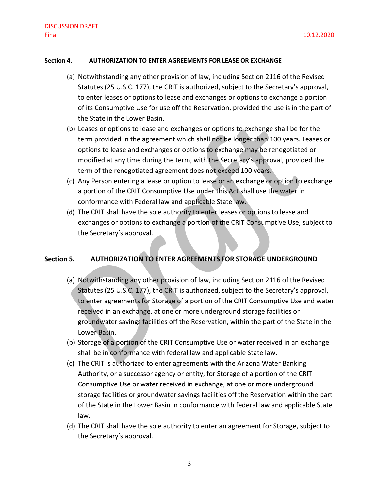#### **Section 4. AUTHORIZATION TO ENTER AGREEMENTS FOR LEASE OR EXCHANGE**

- (a) Notwithstanding any other provision of law, including Section 2116 of the Revised Statutes (25 U.S.C. 177), the CRIT is authorized, subject to the Secretary's approval, to enter leases or options to lease and exchanges or options to exchange a portion of its Consumptive Use for use off the Reservation, provided the use is in the part of the State in the Lower Basin.
- (b) Leases or options to lease and exchanges or options to exchange shall be for the term provided in the agreement which shall not be longer than 100 years. Leases or options to lease and exchanges or options to exchange may be renegotiated or modified at any time during the term, with the Secretary's approval, provided the term of the renegotiated agreement does not exceed 100 years.
- (c) Any Person entering a lease or option to lease or an exchange or option to exchange a portion of the CRIT Consumptive Use under this Act shall use the water in conformance with Federal law and applicable State law.
- (d) The CRIT shall have the sole authority to enter leases or options to lease and exchanges or options to exchange a portion of the CRIT Consumptive Use, subject to the Secretary's approval.

#### **Section 5. AUTHORIZATION TO ENTER AGREEMENTS FOR STORAGE UNDERGROUND**

- (a) Notwithstanding any other provision of law, including Section 2116 of the Revised Statutes (25 U.S.C. 177), the CRIT is authorized, subject to the Secretary's approval, to enter agreements for Storage of a portion of the CRIT Consumptive Use and water received in an exchange, at one or more underground storage facilities or groundwater savings facilities off the Reservation, within the part of the State in the Lower Basin.
- (b) Storage of a portion of the CRIT Consumptive Use or water received in an exchange shall be in conformance with federal law and applicable State law.
- (c) The CRIT is authorized to enter agreements with the Arizona Water Banking Authority, or a successor agency or entity, for Storage of a portion of the CRIT Consumptive Use or water received in exchange, at one or more underground storage facilities or groundwater savings facilities off the Reservation within the part of the State in the Lower Basin in conformance with federal law and applicable State law.
- (d) The CRIT shall have the sole authority to enter an agreement for Storage, subject to the Secretary's approval.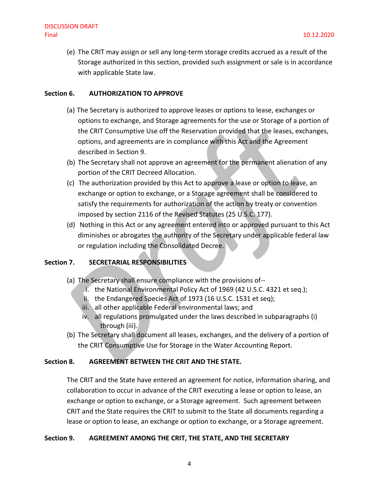(e) The CRIT may assign or sell any long-term storage credits accrued as a result of the Storage authorized in this section, provided such assignment or sale is in accordance with applicable State law.

# **Section 6. AUTHORIZATION TO APPROVE**

- (a) The Secretary is authorized to approve leases or options to lease, exchanges or options to exchange, and Storage agreements for the use or Storage of a portion of the CRIT Consumptive Use off the Reservation provided that the leases, exchanges, options, and agreements are in compliance with this Act and the Agreement described in Section 9.
- (b) The Secretary shall not approve an agreement for the permanent alienation of any portion of the CRIT Decreed Allocation.
- (c) The authorization provided by this Act to approve a lease or option to lease, an exchange or option to exchange, or a Storage agreement shall be considered to satisfy the requirements for authorization of the action by treaty or convention imposed by section 2116 of the Revised Statutes (25 U.S.C. 177).
- (d) Nothing in this Act or any agreement entered into or approved pursuant to this Act diminishes or abrogates the authority of the Secretary under applicable federal law or regulation including the Consolidated Decree.

# **Section 7. SECRETARIAL RESPONSIBILITIES**

- (a) The Secretary shall ensure compliance with the provisions of-
	- i. the National Environmental Policy Act of 1969 (42 U.S.C. 4321 et seq.);
	- ii. the Endangered Species Act of 1973 (16 U.S.C. 1531 et seq);
	- iii. all other applicable Federal environmental laws; and
	- iv. all regulations promulgated under the laws described in subparagraphs (i) through (iii).
- (b) The Secretary shall document all leases, exchanges, and the delivery of a portion of the CRIT Consumptive Use for Storage in the Water Accounting Report.

# **Section 8. AGREEMENT BETWEEN THE CRIT AND THE STATE.**

The CRIT and the State have entered an agreement for notice, information sharing, and collaboration to occur in advance of the CRIT executing a lease or option to lease, an exchange or option to exchange, or a Storage agreement. Such agreement between CRIT and the State requires the CRIT to submit to the State all documents regarding a lease or option to lease, an exchange or option to exchange, or a Storage agreement.

# **Section 9. AGREEMENT AMONG THE CRIT, THE STATE, AND THE SECRETARY**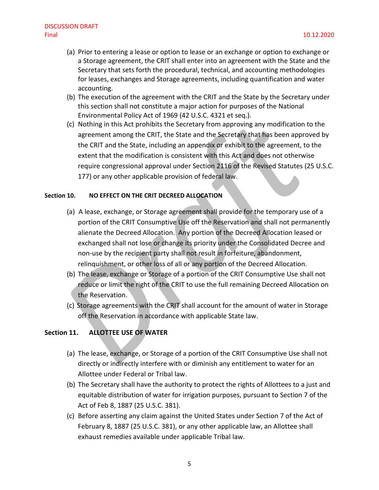- (a) Prior to entering a lease or option to lease or an exchange or option to exchange or a Storage agreement, the CRIT shall enter into an agreement with the State and the Secretary that sets forth the procedural, technical, and accounting methodologies for leases, exchanges and Storage agreements, including quantification and water accounting.
- (b) The execution of the agreement with the CRIT and the State by the Secretary under this section shall not constitute a major action for purposes of the National Environmental Policy Act of 1969 (42 U.S.C. 4321 et seq.).
- (c) Nothing in this Act prohibits the Secretary from approving any modification to the agreement among the CRIT, the State and the Secretary that has been approved by the CRIT and the State, including an appendix or exhibit to the agreement, to the extent that the modification is consistent with this Act and does not otherwise require congressional approval under Section 2116 of the Revised Statutes (25 U.S.C. 177) or any other applicable provision of federal law.

#### **Section 10. NO EFFECT ON THE CRIT DECREED ALLOCATION**

- (a) A lease, exchange, or Storage agreement shall provide for the temporary use of a portion of the CRIT Consumptive Use off the Reservation and shall not permanently alienate the Decreed Allocation. Any portion of the Decreed Allocation leased or exchanged shall not lose or change its priority under the Consolidated Decree and non-use by the recipient party shall not result in forfeiture, abandonment, relinquishment, or other loss of all or any portion of the Decreed Allocation.
- (b) The lease, exchange or Storage of a portion of the CRIT Consumptive Use shall not reduce or limit the right of the CRIT to use the full remaining Decreed Allocation on the Reservation.
- (c) Storage agreements with the CRIT shall account for the amount of water in Storage off the Reservation in accordance with applicable State law.

#### **Section 11. ALLOTTEE USE OF WATER**

- (a) The lease, exchange, or Storage of a portion of the CRIT Consumptive Use shall not directly or indirectly interfere with or diminish any entitlement to water for an Allottee under Federal or Tribal law.
- (b) The Secretary shall have the authority to protect the rights of Allottees to a just and equitable distribution of water for irrigation purposes, pursuant to Section 7 of the Act of Feb 8, 1887 (25 U.S.C. 381).
- (c) Before asserting any claim against the United States under Section 7 of the Act of February 8, 1887 (25 U.S.C. 381), or any other applicable law, an Allottee shall exhaust remedies available under applicable Tribal law.